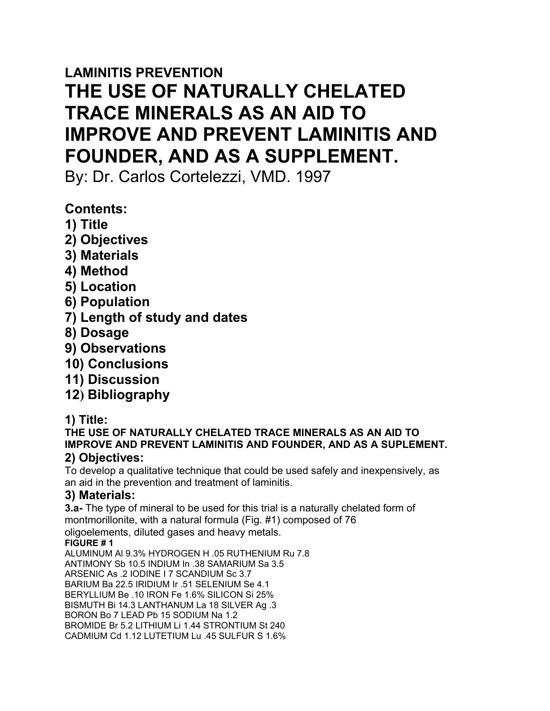# **LAMINITIS PREVENTION THE USE OF NATURALLY CHELATED TRACE MINERALS AS AN AID TO IMPROVE AND PREVENT LAMINITIS AND FOUNDER, AND AS A SUPPLEMENT.**

By: Dr. Carlos Cortelezzi, VMD. 1997

## **Contents:**

- **1) Title**
- **2) Objectives**
- **3) Materials**
- **4) Method**
- **5) Location**
- **6) Population**
- **7) Length of study and dates**
- **8) Dosage**
- **9) Observations**
- **10) Conclusions**
- **11) Discussion**
- **12) Bibliography**
- **1) Title:**

**THE USE OF NATURALLY CHELATED TRACE MINERALS AS AN AID TO IMPROVE AND PREVENT LAMINITIS AND FOUNDER, AND AS A SUPLEMENT.**

## **2) Objectives:**

To develop a qualitative technique that could be used safely and inexpensively, as an aid in the prevention and treatment of laminitis.

## **3) Materials:**

**3.a-** The type of mineral to be used for this trial is a naturally chelated form of montmorillonite, with a natural formula (Fig. #1) composed of 76 oligoelements, diluted gases and heavy metals. **FIGURE # 1** ALUMINUM Al 9.3% HYDROGEN H .05 RUTHENIUM Ru 7.8

ANTIMONY Sb 10.5 INDIUM In .38 SAMARIUM Sa 3.5

ARSENIC As .2 IODINE I 7 SCANDIUM Sc 3.7

BARIUM Ba 22.5 IRIDIUM Ir .51 SELENIUM Se 4.1

BERYLLIUM Be .10 IRON Fe 1.6% SILICON Si 25%

BISMUTH Bi 14.3 LANTHANUM La 18 SILVER Ag .3

BORON Bo 7 LEAD Pb 15 SODIUM Na 1.2

BROMIDE Br 5.2 LITHIUM Li 1.44 STRONTIUM St 240 CADMIUM Cd 1.12 LUTETIUM Lu .45 SULFUR S 1.6%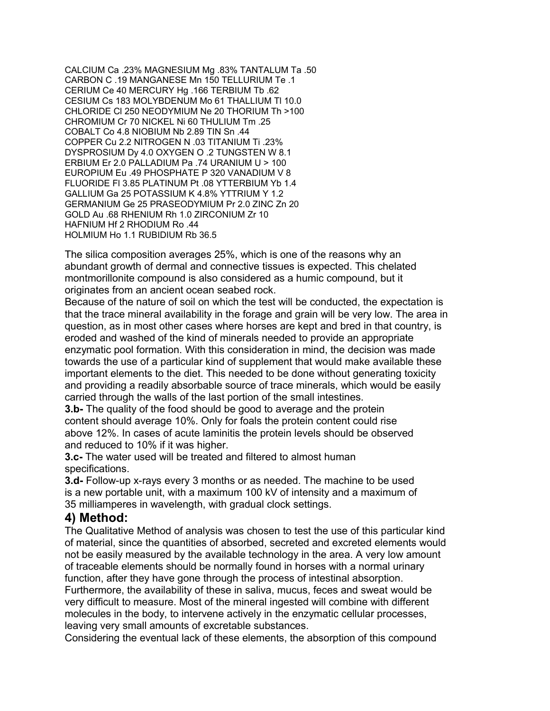CALCIUM Ca .23% MAGNESIUM Mg .83% TANTALUM Ta .50 CARBON C .19 MANGANESE Mn 150 TELLURIUM Te .1 CERIUM Ce 40 MERCURY Hg .166 TERBIUM Tb .62 CESIUM Cs 183 MOLYBDENUM Mo 61 THALLIUM Tl 10.0 CHLORIDE Cl 250 NEODYMIUM Ne 20 THORIUM Th >100 CHROMIUM Cr 70 NICKEL Ni 60 THULIUM Tm .25 COBALT Co 4.8 NIOBIUM Nb 2.89 TIN Sn .44 COPPER Cu 2.2 NITROGEN N .03 TITANIUM Ti .23% DYSPROSIUM Dy 4.0 OXYGEN O .2 TUNGSTEN W 8.1 ERBIUM Er 2.0 PALLADIUM Pa .74 URANIUM U > 100 EUROPIUM Eu .49 PHOSPHATE P 320 VANADIUM V 8 FLUORIDE Fl 3.85 PLATINUM Pt .08 YTTERBIUM Yb 1.4 GALLIUM Ga 25 POTASSIUM K 4.8% YTTRIUM Y 1.2 GERMANIUM Ge 25 PRASEODYMIUM Pr 2.0 ZINC Zn 20 GOLD Au .68 RHENIUM Rh 1.0 ZIRCONIUM Zr 10 HAFNIUM Hf 2 RHODIUM Ro .44 HOLMIUM Ho 1.1 RUBIDIUM Rb 36.5

The silica composition averages 25%, which is one of the reasons why an abundant growth of dermal and connective tissues is expected. This chelated montmorillonite compound is also considered as a humic compound, but it originates from an ancient ocean seabed rock.

Because of the nature of soil on which the test will be conducted, the expectation is that the trace mineral availability in the forage and grain will be very low. The area in question, as in most other cases where horses are kept and bred in that country, is eroded and washed of the kind of minerals needed to provide an appropriate enzymatic pool formation. With this consideration in mind, the decision was made towards the use of a particular kind of supplement that would make available these important elements to the diet. This needed to be done without generating toxicity and providing a readily absorbable source of trace minerals, which would be easily carried through the walls of the last portion of the small intestines.

**3.b-** The quality of the food should be good to average and the protein content should average 10%. Only for foals the protein content could rise above 12%. In cases of acute laminitis the protein levels should be observed and reduced to 10% if it was higher.

**3.c-** The water used will be treated and filtered to almost human specifications.

**3.d-** Follow-up x-rays every 3 months or as needed. The machine to be used is a new portable unit, with a maximum 100 kV of intensity and a maximum of 35 milliamperes in wavelength, with gradual clock settings.

#### **4) Method:**

The Qualitative Method of analysis was chosen to test the use of this particular kind of material, since the quantities of absorbed, secreted and excreted elements would not be easily measured by the available technology in the area. A very low amount of traceable elements should be normally found in horses with a normal urinary function, after they have gone through the process of intestinal absorption.

Furthermore, the availability of these in saliva, mucus, feces and sweat would be very difficult to measure. Most of the mineral ingested will combine with different molecules in the body, to intervene actively in the enzymatic cellular processes, leaving very small amounts of excretable substances.

Considering the eventual lack of these elements, the absorption of this compound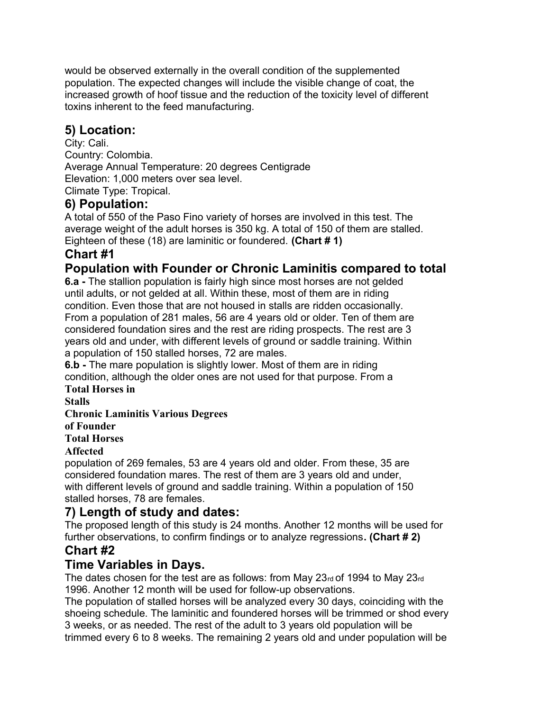would be observed externally in the overall condition of the supplemented population. The expected changes will include the visible change of coat, the increased growth of hoof tissue and the reduction of the toxicity level of different toxins inherent to the feed manufacturing.

## **5) Location:**

City: Cali. Country: Colombia. Average Annual Temperature: 20 degrees Centigrade Elevation: 1,000 meters over sea level. Climate Type: Tropical.

#### **6) Population:**

A total of 550 of the Paso Fino variety of horses are involved in this test. The average weight of the adult horses is 350 kg. A total of 150 of them are stalled. Eighteen of these (18) are laminitic or foundered. **(Chart # 1)**

## **Chart #1**

## **Population with Founder or Chronic Laminitis compared to total**

**6.a -** The stallion population is fairly high since most horses are not gelded until adults, or not gelded at all. Within these, most of them are in riding condition. Even those that are not housed in stalls are ridden occasionally. From a population of 281 males, 56 are 4 years old or older. Ten of them are considered foundation sires and the rest are riding prospects. The rest are 3 years old and under, with different levels of ground or saddle training. Within a population of 150 stalled horses, 72 are males.

**6.b -** The mare population is slightly lower. Most of them are in riding condition, although the older ones are not used for that purpose. From a **Total Horses in**

**Stalls**

**Chronic Laminitis Various Degrees**

**of Founder**

**Total Horses**

#### **Affected**

population of 269 females, 53 are 4 years old and older. From these, 35 are considered foundation mares. The rest of them are 3 years old and under, with different levels of ground and saddle training. Within a population of 150 stalled horses, 78 are females.

## **7) Length of study and dates:**

The proposed length of this study is 24 months. Another 12 months will be used for further observations, to confirm findings or to analyze regressions**. (Chart # 2)**

## **Chart #2**

#### **Time Variables in Days.**

The dates chosen for the test are as follows: from May 23rd of 1994 to May 23rd 1996. Another 12 month will be used for follow-up observations.

The population of stalled horses will be analyzed every 30 days, coinciding with the shoeing schedule. The laminitic and foundered horses will be trimmed or shod every 3 weeks, or as needed. The rest of the adult to 3 years old population will be trimmed every 6 to 8 weeks. The remaining 2 years old and under population will be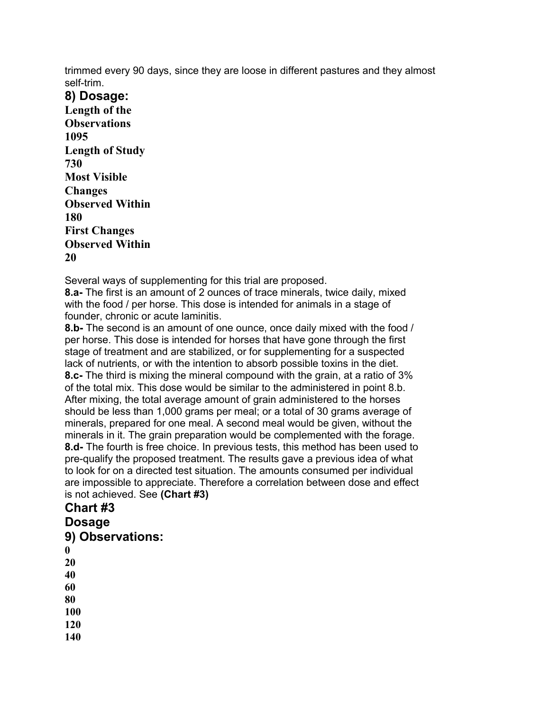trimmed every 90 days, since they are loose in different pastures and they almost self-trim.

**8) Dosage: Length of the Observations 1095 Length of Study 730 Most Visible Changes Observed Within 180 First Changes Observed Within 20**

Several ways of supplementing for this trial are proposed.

**8.a-** The first is an amount of 2 ounces of trace minerals, twice daily, mixed with the food / per horse. This dose is intended for animals in a stage of founder, chronic or acute laminitis.

**8.b-** The second is an amount of one ounce, once daily mixed with the food / per horse. This dose is intended for horses that have gone through the first stage of treatment and are stabilized, or for supplementing for a suspected lack of nutrients, or with the intention to absorb possible toxins in the diet. **8.c-** The third is mixing the mineral compound with the grain, at a ratio of 3% of the total mix. This dose would be similar to the administered in point 8.b. After mixing, the total average amount of grain administered to the horses should be less than 1,000 grams per meal; or a total of 30 grams average of minerals, prepared for one meal. A second meal would be given, without the minerals in it. The grain preparation would be complemented with the forage. **8.d-** The fourth is free choice. In previous tests, this method has been used to pre-qualify the proposed treatment. The results gave a previous idea of what to look for on a directed test situation. The amounts consumed per individual are impossible to appreciate. Therefore a correlation between dose and effect is not achieved. See **(Chart #3)**

#### **Chart #3 Dosage 9) Observations: 0 20 40 60 80 100 120 140**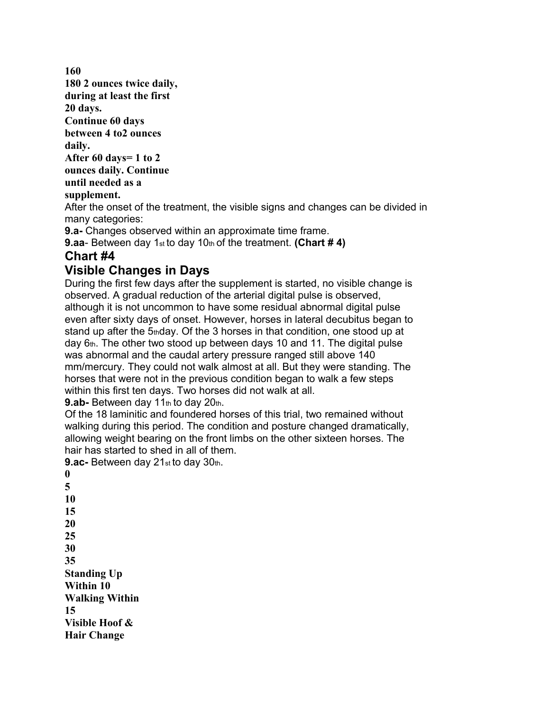**160 180 2 ounces twice daily, during at least the first 20 days. Continue 60 days between 4 to2 ounces daily. After 60 days= 1 to 2 ounces daily. Continue until needed as a supplement.** After the onset of the treatment, the visible signs and changes can be divided in many categories: **9.a-** Changes observed within an approximate time frame. **9.aa**- Between day 1st to day 10th of the treatment. **(Chart # 4) Chart #4 Visible Changes in Days**

During the first few days after the supplement is started, no visible change is observed. A gradual reduction of the arterial digital pulse is observed, although it is not uncommon to have some residual abnormal digital pulse even after sixty days of onset. However, horses in lateral decubitus began to stand up after the  $5<sub>th</sub>$ day. Of the 3 horses in that condition, one stood up at day  $6<sub>th</sub>$ . The other two stood up between days 10 and 11. The digital pulse was abnormal and the caudal artery pressure ranged still above 140 mm/mercury. They could not walk almost at all. But they were standing. The horses that were not in the previous condition began to walk a few steps within this first ten days. Two horses did not walk at all.

9.ab- Between day 11th to day 20th.

Of the 18 laminitic and foundered horses of this trial, two remained without walking during this period. The condition and posture changed dramatically, allowing weight bearing on the front limbs on the other sixteen horses. The hair has started to shed in all of them.

**9.ac-** Between day 21st to day 30th.

**0 5 10 15 20 25 30 35 Standing Up Within 10 Walking Within 15 Visible Hoof & Hair Change**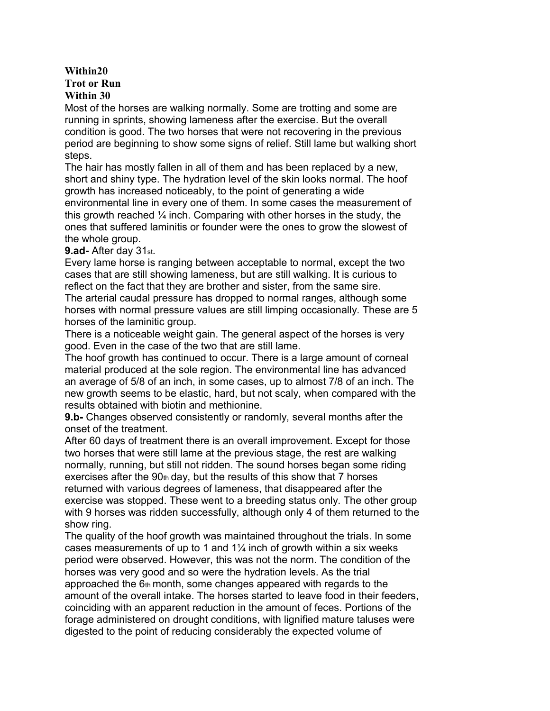#### **Within20 Trot or Run Within 30**

Most of the horses are walking normally. Some are trotting and some are running in sprints, showing lameness after the exercise. But the overall condition is good. The two horses that were not recovering in the previous period are beginning to show some signs of relief. Still lame but walking short steps.

The hair has mostly fallen in all of them and has been replaced by a new, short and shiny type. The hydration level of the skin looks normal. The hoof growth has increased noticeably, to the point of generating a wide environmental line in every one of them. In some cases the measurement of this growth reached  $\frac{1}{4}$  inch. Comparing with other horses in the study, the ones that suffered laminitis or founder were the ones to grow the slowest of the whole group.

#### **9.ad-** After day 31st.

Every lame horse is ranging between acceptable to normal, except the two cases that are still showing lameness, but are still walking. It is curious to reflect on the fact that they are brother and sister, from the same sire. The arterial caudal pressure has dropped to normal ranges, although some horses with normal pressure values are still limping occasionally. These are 5 horses of the laminitic group.

There is a noticeable weight gain. The general aspect of the horses is very good. Even in the case of the two that are still lame.

The hoof growth has continued to occur. There is a large amount of corneal material produced at the sole region. The environmental line has advanced an average of 5/8 of an inch, in some cases, up to almost 7/8 of an inch. The new growth seems to be elastic, hard, but not scaly, when compared with the results obtained with biotin and methionine.

**9.b-** Changes observed consistently or randomly, several months after the onset of the treatment.

After 60 days of treatment there is an overall improvement. Except for those two horses that were still lame at the previous stage, the rest are walking normally, running, but still not ridden. The sound horses began some riding exercises after the  $90<sub>th</sub>$  day, but the results of this show that 7 horses returned with various degrees of lameness, that disappeared after the exercise was stopped. These went to a breeding status only. The other group with 9 horses was ridden successfully, although only 4 of them returned to the show ring.

The quality of the hoof growth was maintained throughout the trials. In some cases measurements of up to 1 and  $1\frac{1}{4}$  inch of growth within a six weeks period were observed. However, this was not the norm. The condition of the horses was very good and so were the hydration levels. As the trial approached the 6th month, some changes appeared with regards to the amount of the overall intake. The horses started to leave food in their feeders, coinciding with an apparent reduction in the amount of feces. Portions of the forage administered on drought conditions, with lignified mature taluses were digested to the point of reducing considerably the expected volume of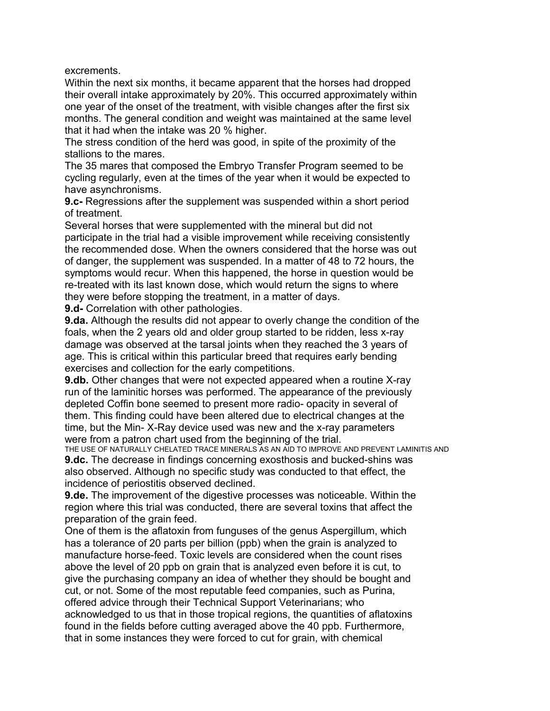excrements.

Within the next six months, it became apparent that the horses had dropped their overall intake approximately by 20%. This occurred approximately within one year of the onset of the treatment, with visible changes after the first six months. The general condition and weight was maintained at the same level that it had when the intake was 20 % higher.

The stress condition of the herd was good, in spite of the proximity of the stallions to the mares.

The 35 mares that composed the Embryo Transfer Program seemed to be cycling regularly, even at the times of the year when it would be expected to have asynchronisms.

**9.c-** Regressions after the supplement was suspended within a short period of treatment.

Several horses that were supplemented with the mineral but did not participate in the trial had a visible improvement while receiving consistently the recommended dose. When the owners considered that the horse was out of danger, the supplement was suspended. In a matter of 48 to 72 hours, the symptoms would recur. When this happened, the horse in question would be re-treated with its last known dose, which would return the signs to where they were before stopping the treatment, in a matter of days.

**9.d-** Correlation with other pathologies.

**9.da.** Although the results did not appear to overly change the condition of the foals, when the 2 years old and older group started to be ridden, less x-ray damage was observed at the tarsal joints when they reached the 3 years of age. This is critical within this particular breed that requires early bending exercises and collection for the early competitions.

**9.db.** Other changes that were not expected appeared when a routine X-ray run of the laminitic horses was performed. The appearance of the previously depleted Coffin bone seemed to present more radio- opacity in several of them. This finding could have been altered due to electrical changes at the time, but the Min- X-Ray device used was new and the x-ray parameters were from a patron chart used from the beginning of the trial.

THE USE OF NATURALLY CHELATED TRACE MINERALS AS AN AID TO IMPROVE AND PREVENT LAMINITIS AND **9.dc.** The decrease in findings concerning exosthosis and bucked-shins was also observed. Although no specific study was conducted to that effect, the incidence of periostitis observed declined.

**9.de.** The improvement of the digestive processes was noticeable. Within the region where this trial was conducted, there are several toxins that affect the preparation of the grain feed.

One of them is the aflatoxin from funguses of the genus Aspergillum, which has a tolerance of 20 parts per billion (ppb) when the grain is analyzed to manufacture horse-feed. Toxic levels are considered when the count rises above the level of 20 ppb on grain that is analyzed even before it is cut, to give the purchasing company an idea of whether they should be bought and cut, or not. Some of the most reputable feed companies, such as Purina, offered advice through their Technical Support Veterinarians; who acknowledged to us that in those tropical regions, the quantities of aflatoxins found in the fields before cutting averaged above the 40 ppb. Furthermore, that in some instances they were forced to cut for grain, with chemical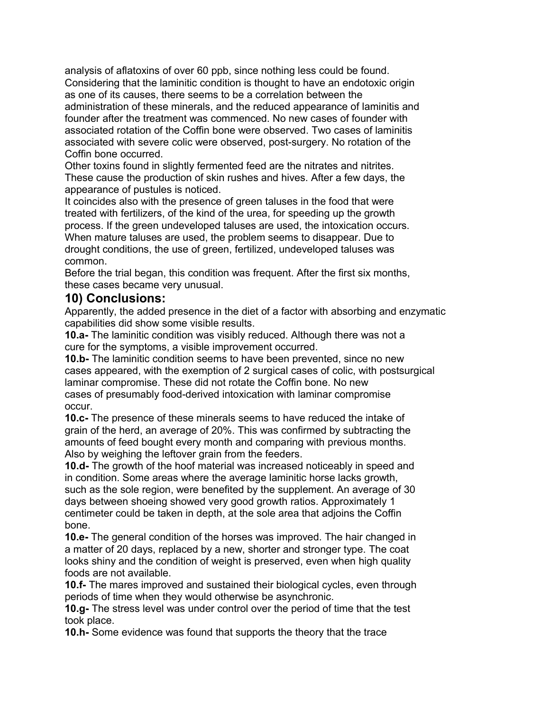analysis of aflatoxins of over 60 ppb, since nothing less could be found. Considering that the laminitic condition is thought to have an endotoxic origin as one of its causes, there seems to be a correlation between the administration of these minerals, and the reduced appearance of laminitis and founder after the treatment was commenced. No new cases of founder with associated rotation of the Coffin bone were observed. Two cases of laminitis associated with severe colic were observed, post-surgery. No rotation of the Coffin bone occurred.

Other toxins found in slightly fermented feed are the nitrates and nitrites. These cause the production of skin rushes and hives. After a few days, the appearance of pustules is noticed.

It coincides also with the presence of green taluses in the food that were treated with fertilizers, of the kind of the urea, for speeding up the growth process. If the green undeveloped taluses are used, the intoxication occurs. When mature taluses are used, the problem seems to disappear. Due to drought conditions, the use of green, fertilized, undeveloped taluses was common.

Before the trial began, this condition was frequent. After the first six months, these cases became very unusual.

#### **10) Conclusions:**

Apparently, the added presence in the diet of a factor with absorbing and enzymatic capabilities did show some visible results.

**10.a-** The laminitic condition was visibly reduced. Although there was not a cure for the symptoms, a visible improvement occurred.

**10.b-** The laminitic condition seems to have been prevented, since no new cases appeared, with the exemption of 2 surgical cases of colic, with postsurgical laminar compromise. These did not rotate the Coffin bone. No new cases of presumably food-derived intoxication with laminar compromise occur.

**10.c-** The presence of these minerals seems to have reduced the intake of grain of the herd, an average of 20%. This was confirmed by subtracting the amounts of feed bought every month and comparing with previous months. Also by weighing the leftover grain from the feeders.

**10.d-** The growth of the hoof material was increased noticeably in speed and in condition. Some areas where the average laminitic horse lacks growth, such as the sole region, were benefited by the supplement. An average of 30 days between shoeing showed very good growth ratios. Approximately 1 centimeter could be taken in depth, at the sole area that adjoins the Coffin bone.

**10.e-** The general condition of the horses was improved. The hair changed in a matter of 20 days, replaced by a new, shorter and stronger type. The coat looks shiny and the condition of weight is preserved, even when high quality foods are not available.

**10.f-** The mares improved and sustained their biological cycles, even through periods of time when they would otherwise be asynchronic.

**10.g-** The stress level was under control over the period of time that the test took place.

**10.h-** Some evidence was found that supports the theory that the trace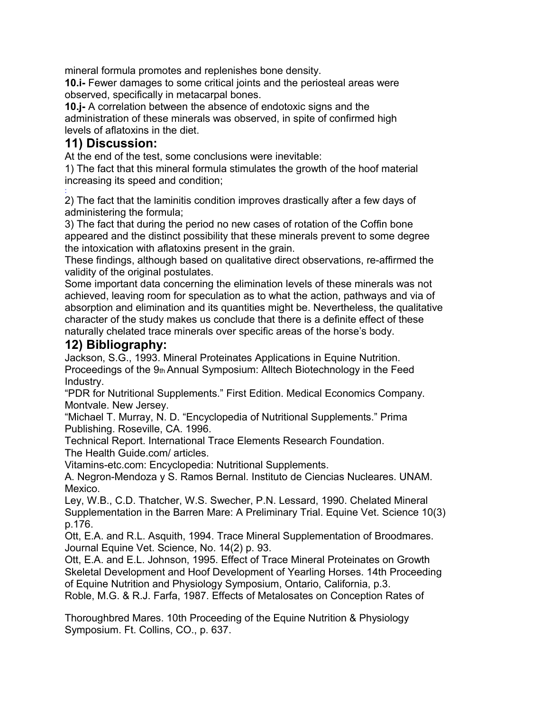mineral formula promotes and replenishes bone density.

**10.i-** Fewer damages to some critical joints and the periosteal areas were observed, specifically in metacarpal bones.

**10.j-** A correlation between the absence of endotoxic signs and the administration of these minerals was observed, in spite of confirmed high levels of aflatoxins in the diet.

#### **11) Discussion:**

At the end of the test, some conclusions were inevitable:

1) The fact that this mineral formula stimulates the growth of the hoof material increasing its speed and condition;

: 2) The fact that the laminitis condition improves drastically after a few days of administering the formula;

3) The fact that during the period no new cases of rotation of the Coffin bone appeared and the distinct possibility that these minerals prevent to some degree the intoxication with aflatoxins present in the grain.

These findings, although based on qualitative direct observations, re-affirmed the validity of the original postulates.

Some important data concerning the elimination levels of these minerals was not achieved, leaving room for speculation as to what the action, pathways and via of absorption and elimination and its quantities might be. Nevertheless, the qualitative character of the study makes us conclude that there is a definite effect of these naturally chelated trace minerals over specific areas of the horse's body.

## **12) Bibliography:**

Jackson, S.G., 1993. Mineral Proteinates Applications in Equine Nutrition. Proceedings of the 9th Annual Symposium: Alltech Biotechnology in the Feed Industry.

"PDR for Nutritional Supplements." First Edition. Medical Economics Company. Montvale. New Jersey.

"Michael T. Murray, N. D. "Encyclopedia of Nutritional Supplements." Prima Publishing. Roseville, CA. 1996.

Technical Report. International Trace Elements Research Foundation. The Health Guide.com/ articles.

Vitamins-etc.com: Encyclopedia: Nutritional Supplements.

A. Negron-Mendoza y S. Ramos Bernal. Instituto de Ciencias Nucleares. UNAM. Mexico.

Ley, W.B., C.D. Thatcher, W.S. Swecher, P.N. Lessard, 1990. Chelated Mineral Supplementation in the Barren Mare: A Preliminary Trial. Equine Vet. Science 10(3) p.176.

Ott, E.A. and R.L. Asquith, 1994. Trace Mineral Supplementation of Broodmares. Journal Equine Vet. Science, No. 14(2) p. 93.

Ott, E.A. and E.L. Johnson, 1995. Effect of Trace Mineral Proteinates on Growth Skeletal Development and Hoof Development of Yearling Horses. 14th Proceeding of Equine Nutrition and Physiology Symposium, Ontario, California, p.3. Roble, M.G. & R.J. Farfa, 1987. Effects of Metalosates on Conception Rates of

Thoroughbred Mares. 10th Proceeding of the Equine Nutrition & Physiology Symposium. Ft. Collins, CO., p. 637.